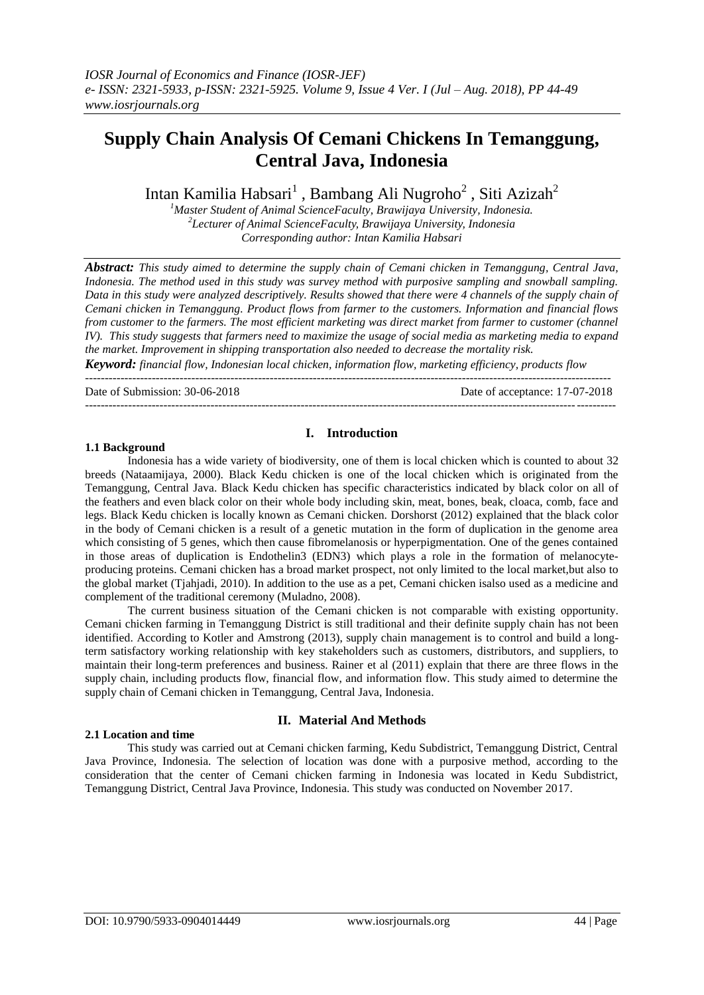# **Supply Chain Analysis Of Cemani Chickens In Temanggung, Central Java, Indonesia**

Intan Kamilia Habsari $^1$  , Bambang Ali Nugroho $^2$  , Siti Azizah $^2$ 

*<sup>1</sup>Master Student of Animal ScienceFaculty, Brawijaya University, Indonesia. 2 Lecturer of Animal ScienceFaculty, Brawijaya University, Indonesia Corresponding author: Intan Kamilia Habsari*

*Abstract: This study aimed to determine the supply chain of Cemani chicken in Temanggung, Central Java, Indonesia. The method used in this study was survey method with purposive sampling and snowball sampling. Data in this study were analyzed descriptively. Results showed that there were 4 channels of the supply chain of Cemani chicken in Temanggung. Product flows from farmer to the customers. Information and financial flows from customer to the farmers. The most efficient marketing was direct market from farmer to customer (channel IV). This study suggests that farmers need to maximize the usage of social media as marketing media to expand the market. Improvement in shipping transportation also needed to decrease the mortality risk.*

*Keyword: financial flow, Indonesian local chicken, information flow, marketing efficiency, products flow --------------------------------------------------------------------------------------------------------------------------------------*

Date of Submission: 30-06-2018 Date of acceptance: 17-07-2018

#### **I. Introduction**

---------------------------------------------------------------------------------------------------------------------------------------

#### **1.1 Background**

Indonesia has a wide variety of biodiversity, one of them is local chicken which is counted to about 32 breeds (Nataamijaya, 2000). Black Kedu chicken is one of the local chicken which is originated from the Temanggung, Central Java. Black Kedu chicken has specific characteristics indicated by black color on all of the feathers and even black color on their whole body including skin, meat, bones, beak, cloaca, comb, face and legs. Black Kedu chicken is locally known as Cemani chicken. Dorshorst (2012) explained that the black color in the body of Cemani chicken is a result of a genetic mutation in the form of duplication in the genome area which consisting of 5 genes, which then cause fibromelanosis or hyperpigmentation. One of the genes contained in those areas of duplication is Endothelin3 (EDN3) which plays a role in the formation of melanocyteproducing proteins. Cemani chicken has a broad market prospect, not only limited to the local market,but also to the global market (Tjahjadi, 2010). In addition to the use as a pet, Cemani chicken isalso used as a medicine and complement of the traditional ceremony (Muladno, 2008).

The current business situation of the Cemani chicken is not comparable with existing opportunity. Cemani chicken farming in Temanggung District is still traditional and their definite supply chain has not been identified. According to Kotler and Amstrong (2013), supply chain management is to control and build a longterm satisfactory working relationship with key stakeholders such as customers, distributors, and suppliers, to maintain their long-term preferences and business. Rainer et al (2011) explain that there are three flows in the supply chain, including products flow, financial flow, and information flow. This study aimed to determine the supply chain of Cemani chicken in Temanggung, Central Java, Indonesia.

#### **2.1 Location and time**

## **II. Material And Methods**

This study was carried out at Cemani chicken farming, Kedu Subdistrict, Temanggung District, Central Java Province, Indonesia. The selection of location was done with a purposive method, according to the consideration that the center of Cemani chicken farming in Indonesia was located in Kedu Subdistrict, Temanggung District, Central Java Province, Indonesia. This study was conducted on November 2017.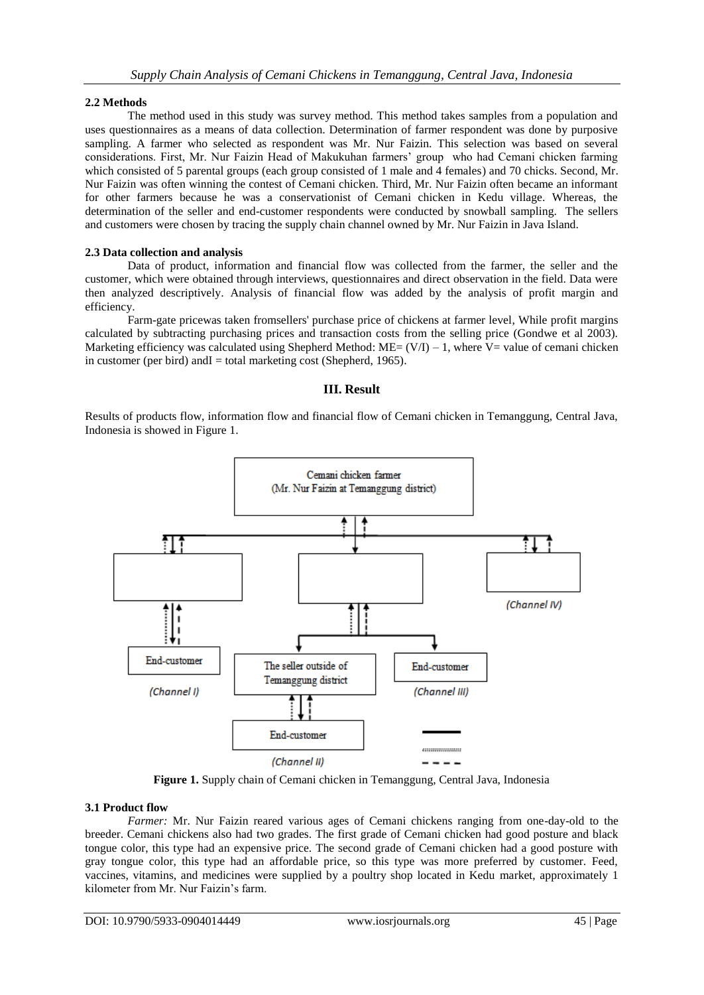## **2.2 Methods**

The method used in this study was survey method. This method takes samples from a population and uses questionnaires as a means of data collection. Determination of farmer respondent was done by purposive sampling. A farmer who selected as respondent was Mr. Nur Faizin. This selection was based on several considerations. First, Mr. Nur Faizin Head of Makukuhan farmers' group who had Cemani chicken farming which consisted of 5 parental groups (each group consisted of 1 male and 4 females) and 70 chicks. Second, Mr. Nur Faizin was often winning the contest of Cemani chicken. Third, Mr. Nur Faizin often became an informant for other farmers because he was a conservationist of Cemani chicken in Kedu village. Whereas, the determination of the seller and end-customer respondents were conducted by snowball sampling. The sellers and customers were chosen by tracing the supply chain channel owned by Mr. Nur Faizin in Java Island.

## **2.3 Data collection and analysis**

Data of product, information and financial flow was collected from the farmer, the seller and the customer, which were obtained through interviews, questionnaires and direct observation in the field. Data were then analyzed descriptively. Analysis of financial flow was added by the analysis of profit margin and efficiency.

Farm-gate pricewas taken fromsellers' purchase price of chickens at farmer level, While profit margins calculated by subtracting purchasing prices and transaction costs from the selling price (Gondwe et al 2003). Marketing efficiency was calculated using Shepherd Method:  $ME = (V/I) - 1$ , where V= value of cemani chicken in customer (per bird) and  $I =$  total marketing cost (Shepherd, 1965).

## **III. Result**

Results of products flow, information flow and financial flow of Cemani chicken in Temanggung, Central Java, Indonesia is showed in Figure 1.



**Figure 1.** Supply chain of Cemani chicken in Temanggung, Central Java, Indonesia

## **3.1 Product flow**

*Farmer:* Mr. Nur Faizin reared various ages of Cemani chickens ranging from one-day-old to the breeder. Cemani chickens also had two grades. The first grade of Cemani chicken had good posture and black tongue color, this type had an expensive price. The second grade of Cemani chicken had a good posture with gray tongue color, this type had an affordable price, so this type was more preferred by customer. Feed, vaccines, vitamins, and medicines were supplied by a poultry shop located in Kedu market, approximately 1 kilometer from Mr. Nur Faizin's farm.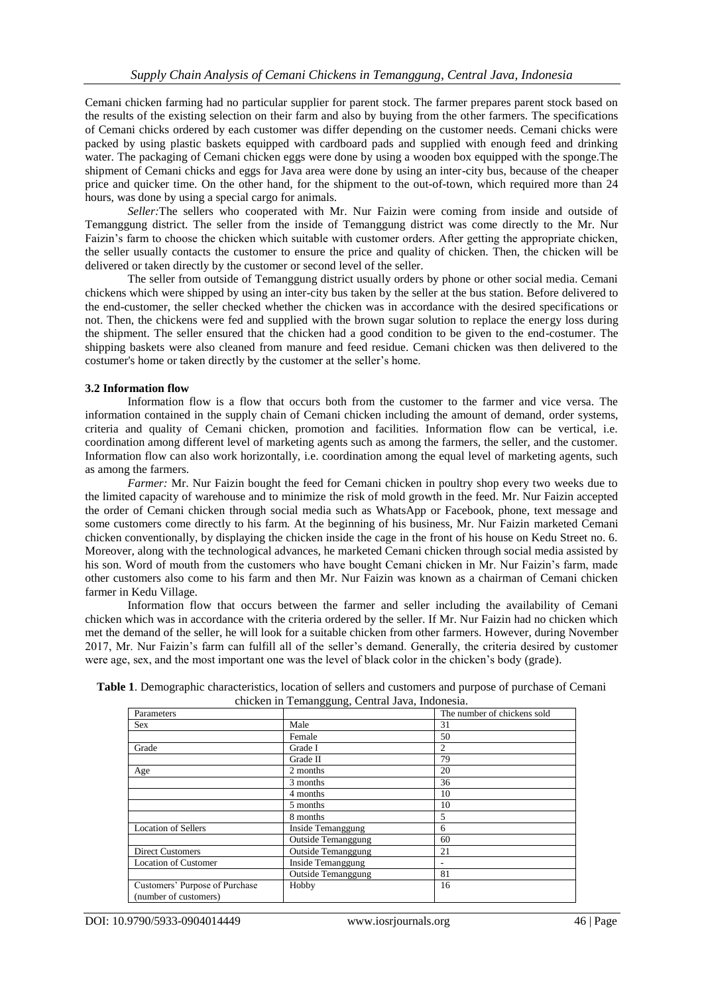Cemani chicken farming had no particular supplier for parent stock. The farmer prepares parent stock based on the results of the existing selection on their farm and also by buying from the other farmers. The specifications of Cemani chicks ordered by each customer was differ depending on the customer needs. Cemani chicks were packed by using plastic baskets equipped with cardboard pads and supplied with enough feed and drinking water. The packaging of Cemani chicken eggs were done by using a wooden box equipped with the sponge.The shipment of Cemani chicks and eggs for Java area were done by using an inter-city bus, because of the cheaper price and quicker time. On the other hand, for the shipment to the out-of-town, which required more than 24 hours, was done by using a special cargo for animals.

*Seller:*The sellers who cooperated with Mr. Nur Faizin were coming from inside and outside of Temanggung district. The seller from the inside of Temanggung district was come directly to the Mr. Nur Faizin's farm to choose the chicken which suitable with customer orders. After getting the appropriate chicken, the seller usually contacts the customer to ensure the price and quality of chicken. Then, the chicken will be delivered or taken directly by the customer or second level of the seller.

The seller from outside of Temanggung district usually orders by phone or other social media. Cemani chickens which were shipped by using an inter-city bus taken by the seller at the bus station. Before delivered to the end-customer, the seller checked whether the chicken was in accordance with the desired specifications or not. Then, the chickens were fed and supplied with the brown sugar solution to replace the energy loss during the shipment. The seller ensured that the chicken had a good condition to be given to the end-costumer. The shipping baskets were also cleaned from manure and feed residue. Cemani chicken was then delivered to the costumer's home or taken directly by the customer at the seller's home.

#### **3.2 Information flow**

Information flow is a flow that occurs both from the customer to the farmer and vice versa. The information contained in the supply chain of Cemani chicken including the amount of demand, order systems, criteria and quality of Cemani chicken, promotion and facilities. Information flow can be vertical, i.e. coordination among different level of marketing agents such as among the farmers, the seller, and the customer. Information flow can also work horizontally, i.e. coordination among the equal level of marketing agents, such as among the farmers.

*Farmer:* Mr. Nur Faizin bought the feed for Cemani chicken in poultry shop every two weeks due to the limited capacity of warehouse and to minimize the risk of mold growth in the feed. Mr. Nur Faizin accepted the order of Cemani chicken through social media such as WhatsApp or Facebook, phone, text message and some customers come directly to his farm. At the beginning of his business, Mr. Nur Faizin marketed Cemani chicken conventionally, by displaying the chicken inside the cage in the front of his house on Kedu Street no. 6. Moreover, along with the technological advances, he marketed Cemani chicken through social media assisted by his son. Word of mouth from the customers who have bought Cemani chicken in Mr. Nur Faizin's farm, made other customers also come to his farm and then Mr. Nur Faizin was known as a chairman of Cemani chicken farmer in Kedu Village.

Information flow that occurs between the farmer and seller including the availability of Cemani chicken which was in accordance with the criteria ordered by the seller. If Mr. Nur Faizin had no chicken which met the demand of the seller, he will look for a suitable chicken from other farmers. However, during November 2017, Mr. Nur Faizin's farm can fulfill all of the seller's demand. Generally, the criteria desired by customer were age, sex, and the most important one was the level of black color in the chicken's body (grade).

| Table 1. Demographic characteristics, location of sellers and customers and purpose of purchase of Cemani |                                                 |  |
|-----------------------------------------------------------------------------------------------------------|-------------------------------------------------|--|
|                                                                                                           | chicken in Temanggung, Central Java, Indonesia. |  |

| Parameters                     |                           | The number of chickens sold |
|--------------------------------|---------------------------|-----------------------------|
| <b>Sex</b>                     | Male                      | 31                          |
|                                | Female                    | 50                          |
| Grade                          | Grade I                   | 2                           |
|                                | Grade II                  | 79                          |
| Age                            | 2 months                  | 20                          |
|                                | 3 months                  | 36                          |
|                                | 4 months                  | 10                          |
|                                | 5 months                  | 10                          |
|                                | 8 months                  | 5                           |
| <b>Location of Sellers</b>     | <b>Inside Temanggung</b>  | 6                           |
|                                | <b>Outside Temanggung</b> | 60                          |
| <b>Direct Customers</b>        | <b>Outside Temanggung</b> | 21                          |
| <b>Location of Customer</b>    | Inside Temanggung         |                             |
|                                | <b>Outside Temanggung</b> | 81                          |
| Customers' Purpose of Purchase | Hobby                     | 16                          |
| (number of customers)          |                           |                             |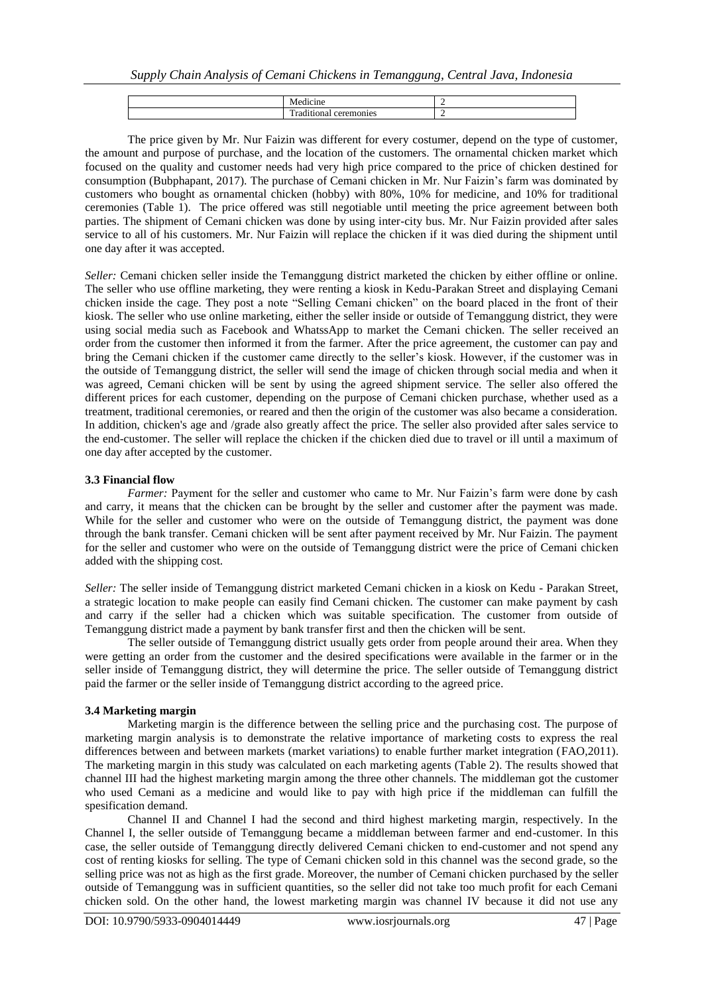| – |  |  |
|---|--|--|

The price given by Mr. Nur Faizin was different for every costumer, depend on the type of customer, the amount and purpose of purchase, and the location of the customers. The ornamental chicken market which focused on the quality and customer needs had very high price compared to the price of chicken destined for consumption (Bubphapant, 2017). The purchase of Cemani chicken in Mr. Nur Faizin's farm was dominated by customers who bought as ornamental chicken (hobby) with 80%, 10% for medicine, and 10% for traditional ceremonies (Table 1). The price offered was still negotiable until meeting the price agreement between both parties. The shipment of Cemani chicken was done by using inter-city bus. Mr. Nur Faizin provided after sales service to all of his customers. Mr. Nur Faizin will replace the chicken if it was died during the shipment until one day after it was accepted.

*Seller:* Cemani chicken seller inside the Temanggung district marketed the chicken by either offline or online. The seller who use offline marketing, they were renting a kiosk in Kedu-Parakan Street and displaying Cemani chicken inside the cage. They post a note "Selling Cemani chicken" on the board placed in the front of their kiosk. The seller who use online marketing, either the seller inside or outside of Temanggung district, they were using social media such as Facebook and WhatssApp to market the Cemani chicken. The seller received an order from the customer then informed it from the farmer. After the price agreement, the customer can pay and bring the Cemani chicken if the customer came directly to the seller's kiosk. However, if the customer was in the outside of Temanggung district, the seller will send the image of chicken through social media and when it was agreed, Cemani chicken will be sent by using the agreed shipment service. The seller also offered the different prices for each customer, depending on the purpose of Cemani chicken purchase, whether used as a treatment, traditional ceremonies, or reared and then the origin of the customer was also became a consideration. In addition, chicken's age and /grade also greatly affect the price. The seller also provided after sales service to the end-customer. The seller will replace the chicken if the chicken died due to travel or ill until a maximum of one day after accepted by the customer.

#### **3.3 Financial flow**

*Farmer:* Payment for the seller and customer who came to Mr. Nur Faizin's farm were done by cash and carry, it means that the chicken can be brought by the seller and customer after the payment was made. While for the seller and customer who were on the outside of Temanggung district, the payment was done through the bank transfer. Cemani chicken will be sent after payment received by Mr. Nur Faizin. The payment for the seller and customer who were on the outside of Temanggung district were the price of Cemani chicken added with the shipping cost.

*Seller:* The seller inside of Temanggung district marketed Cemani chicken in a kiosk on Kedu - Parakan Street, a strategic location to make people can easily find Cemani chicken. The customer can make payment by cash and carry if the seller had a chicken which was suitable specification. The customer from outside of Temanggung district made a payment by bank transfer first and then the chicken will be sent.

The seller outside of Temanggung district usually gets order from people around their area. When they were getting an order from the customer and the desired specifications were available in the farmer or in the seller inside of Temanggung district, they will determine the price. The seller outside of Temanggung district paid the farmer or the seller inside of Temanggung district according to the agreed price.

## **3.4 Marketing margin**

Marketing margin is the difference between the selling price and the purchasing cost. The purpose of marketing margin analysis is to demonstrate the relative importance of marketing costs to express the real differences between and between markets (market variations) to enable further market integration (FAO,2011). The marketing margin in this study was calculated on each marketing agents (Table 2). The results showed that channel III had the highest marketing margin among the three other channels. The middleman got the customer who used Cemani as a medicine and would like to pay with high price if the middleman can fulfill the spesification demand.

Channel II and Channel I had the second and third highest marketing margin, respectively. In the Channel I, the seller outside of Temanggung became a middleman between farmer and end-customer. In this case, the seller outside of Temanggung directly delivered Cemani chicken to end-customer and not spend any cost of renting kiosks for selling. The type of Cemani chicken sold in this channel was the second grade, so the selling price was not as high as the first grade. Moreover, the number of Cemani chicken purchased by the seller outside of Temanggung was in sufficient quantities, so the seller did not take too much profit for each Cemani chicken sold. On the other hand, the lowest marketing margin was channel IV because it did not use any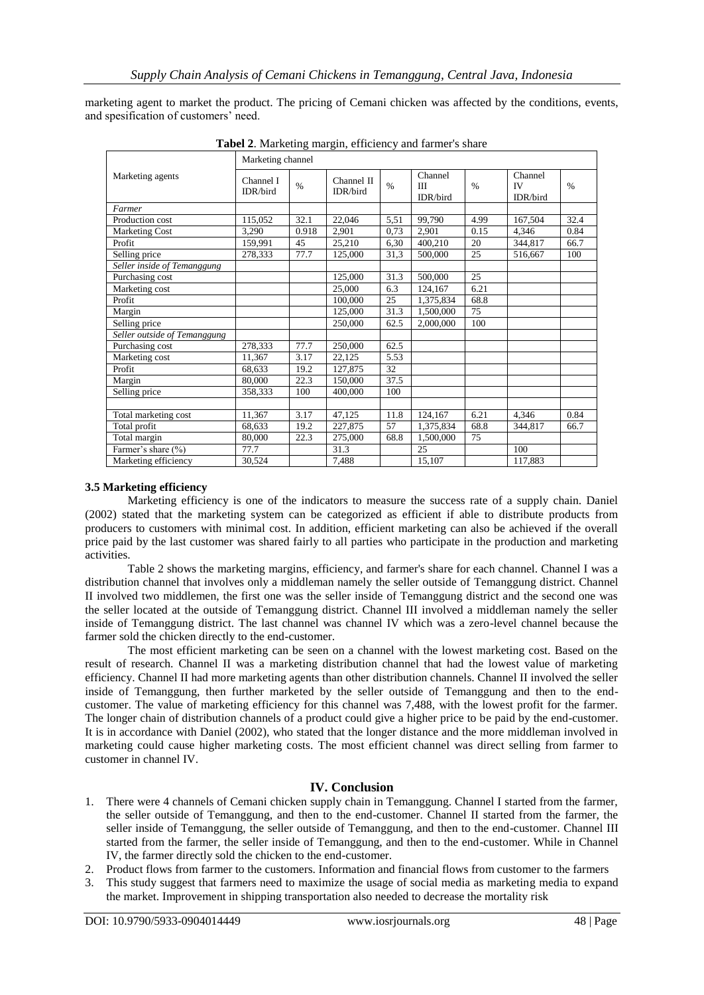marketing agent to market the product. The pricing of Cemani chicken was affected by the conditions, events, and spesification of customers' need.

|                              | Marketing channel     |               |                        |      |                          |      |                                  |               |
|------------------------------|-----------------------|---------------|------------------------|------|--------------------------|------|----------------------------------|---------------|
| Marketing agents             | Channel I<br>IDR/bird | $\frac{0}{0}$ | Channel II<br>IDR/bird | $\%$ | Channel<br>Ш<br>IDR/bird | $\%$ | Channel<br><b>IV</b><br>IDR/bird | $\frac{0}{0}$ |
| Farmer                       |                       |               |                        |      |                          |      |                                  |               |
| Production cost              | 115,052               | 32.1          | 22,046                 | 5,51 | 99,790                   | 4.99 | 167,504                          | 32.4          |
| <b>Marketing Cost</b>        | 3,290                 | 0.918         | 2,901                  | 0,73 | 2,901                    | 0.15 | 4,346                            | 0.84          |
| Profit                       | 159.991               | 45            | 25,210                 | 6,30 | 400,210                  | 20   | 344,817                          | 66.7          |
| Selling price                | 278,333               | 77.7          | 125,000                | 31,3 | 500,000                  | 25   | 516.667                          | 100           |
| Seller inside of Temanggung  |                       |               |                        |      |                          |      |                                  |               |
| Purchasing cost              |                       |               | 125,000                | 31.3 | 500,000                  | 25   |                                  |               |
| Marketing cost               |                       |               | 25,000                 | 6.3  | 124,167                  | 6.21 |                                  |               |
| Profit                       |                       |               | 100,000                | 25   | 1,375,834                | 68.8 |                                  |               |
| Margin                       |                       |               | 125,000                | 31.3 | 1,500,000                | 75   |                                  |               |
| Selling price                |                       |               | 250,000                | 62.5 | 2,000,000                | 100  |                                  |               |
| Seller outside of Temanggung |                       |               |                        |      |                          |      |                                  |               |
| Purchasing cost              | 278.333               | 77.7          | 250,000                | 62.5 |                          |      |                                  |               |
| Marketing cost               | 11.367                | 3.17          | 22,125                 | 5.53 |                          |      |                                  |               |
| Profit                       | 68,633                | 19.2          | 127,875                | 32   |                          |      |                                  |               |
| Margin                       | 80,000                | 22.3          | 150,000                | 37.5 |                          |      |                                  |               |
| Selling price                | 358.333               | 100           | 400,000                | 100  |                          |      |                                  |               |
|                              |                       |               |                        |      |                          |      |                                  |               |
| Total marketing cost         | 11,367                | 3.17          | 47,125                 | 11.8 | 124,167                  | 6.21 | 4,346                            | 0.84          |
| Total profit                 | 68.633                | 19.2          | 227,875                | 57   | 1,375,834                | 68.8 | 344,817                          | 66.7          |
| Total margin                 | 80,000                | 22.3          | 275,000                | 68.8 | 1,500,000                | 75   |                                  |               |
| Farmer's share (%)           | 77.7                  |               | 31.3                   |      | 25                       |      | 100                              |               |
| Marketing efficiency         | 30.524                |               | 7.488                  |      | 15,107                   |      | 117,883                          |               |

**Tabel 2**. Marketing margin, efficiency and farmer's share

## **3.5 Marketing efficiency**

Marketing efficiency is one of the indicators to measure the success rate of a supply chain. Daniel (2002) stated that the marketing system can be categorized as efficient if able to distribute products from producers to customers with minimal cost. In addition, efficient marketing can also be achieved if the overall price paid by the last customer was shared fairly to all parties who participate in the production and marketing activities.

Table 2 shows the marketing margins, efficiency, and farmer's share for each channel. Channel I was a distribution channel that involves only a middleman namely the seller outside of Temanggung district. Channel II involved two middlemen, the first one was the seller inside of Temanggung district and the second one was the seller located at the outside of Temanggung district. Channel III involved a middleman namely the seller inside of Temanggung district. The last channel was channel IV which was a zero-level channel because the farmer sold the chicken directly to the end-customer.

The most efficient marketing can be seen on a channel with the lowest marketing cost. Based on the result of research. Channel II was a marketing distribution channel that had the lowest value of marketing efficiency. Channel II had more marketing agents than other distribution channels. Channel II involved the seller inside of Temanggung, then further marketed by the seller outside of Temanggung and then to the endcustomer. The value of marketing efficiency for this channel was 7,488, with the lowest profit for the farmer. The longer chain of distribution channels of a product could give a higher price to be paid by the end-customer. It is in accordance with Daniel (2002), who stated that the longer distance and the more middleman involved in marketing could cause higher marketing costs. The most efficient channel was direct selling from farmer to customer in channel IV.

## **IV. Conclusion**

- 1. There were 4 channels of Cemani chicken supply chain in Temanggung. Channel I started from the farmer, the seller outside of Temanggung, and then to the end-customer. Channel II started from the farmer, the seller inside of Temanggung, the seller outside of Temanggung, and then to the end-customer. Channel III started from the farmer, the seller inside of Temanggung, and then to the end-customer. While in Channel IV, the farmer directly sold the chicken to the end-customer.
- 2. Product flows from farmer to the customers. Information and financial flows from customer to the farmers
- 3. This study suggest that farmers need to maximize the usage of social media as marketing media to expand the market. Improvement in shipping transportation also needed to decrease the mortality risk